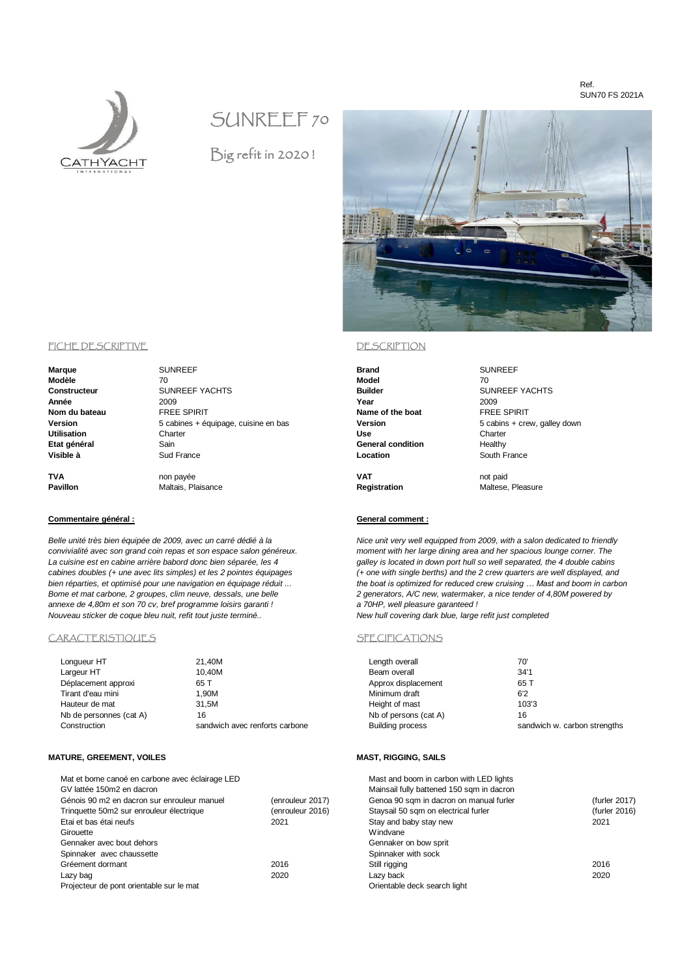### Ref. SUN70 FS 2021A



# SUNREEF 70

Big refit in 2020 !



**Pavillon** Maltais, Plaisance **Registration** Maltese, Pleasure

# **Commentaire général : General comment :**

*convivialité avec son grand coin repas et son espace salon généreux. moment with her large dining area and her spacious lounge corner. The La cuisine est en cabine arrière babord donc bien séparée, les 4 galley is located in down port hull so well separated, the 4 double cabins cabines doubles (+ une avec lits simples) et les 2 pointes équipages (+ one with single berths) and the 2 crew quarters are well displayed, and bien réparties, et optimisé pour une navigation en équipage réduit ... the boat is optimized for reduced crew cruising … Mast and boom in carbon Bome et mat carbone, 2 groupes, clim neuve, dessals, une belle 2 generators, A/C new, watermaker, a nice tender of 4,80M powered by*

| Length overall          | 70'                         |
|-------------------------|-----------------------------|
| Beam overall            | 34'1                        |
| Approx displacement     | 65 T                        |
| Minimum draft           | 6'2                         |
| Height of mast          | 103'3                       |
| Nb of persons (cat A)   | 16                          |
| <b>Building process</b> | sandwich w carbon strengths |

| Mat et bome canoé en carbone avec éclairage LED |                  | Mast and boom in carbon with LED lights   |               |
|-------------------------------------------------|------------------|-------------------------------------------|---------------|
| GV lattée 150m2 en dacron                       |                  | Mainsail fully battened 150 sqm in dacron |               |
| Génois 90 m2 en dacron sur enrouleur manuel     | (enrouleur 2017) | Genoa 90 sqm in dacron on manual furler   | (furler 2017) |
| Trinquette 50m2 sur enrouleur électrique        | (enrouleur 2016) | Staysail 50 sqm on electrical furler      | (furler 2016) |
| Etai et bas étai neufs                          | 2021             | Stay and baby stay new                    | 2021          |
| Girouette                                       |                  | Windvane                                  |               |
| Gennaker avec bout dehors                       |                  | Gennaker on bow sprit                     |               |
| Spinnaker avec chaussette                       |                  | Spinnaker with sock                       |               |
| Gréement dormant                                | 2016             | Still rigging                             | 2016          |
| Lazy bag                                        | 2020             | Lazy back                                 | 2020          |
| Projecteur de pont orientable sur le mat        |                  | Orientable deck search light              |               |
|                                                 |                  |                                           |               |

### FICHE DESCRIPTIVE DESCRIPTION

| Marque        |
|---------------|
| Modèle        |
| Constructeur  |
| Année         |
| Nom du bateau |
| Version       |
| Utilisation   |
| Etat général  |
| Visible à     |

**Marque** SUNREEF **Brand** SUNREEF **Modèle** 70 **Model** 70 **CONSTRUCTER SUNREEF YACHTS**<br>1999 **Construction Sunder** Superfunction of the Superfunction of the Superfunction of the Superfunction of the Superfunction of the Superfunction of the Superfunction of the Superfunction of th **Année** 2009 **Year** 2009 **Nom du bateau** FREE SPIRIT **Name of the boat** FREE SPIRIT **Version** 5 cabines + équipage, cuisine en bas **Version** 5 cabins + crew, galley down **Utilisation** Charter **Use** Charter **Example 2.6**<br> **Example 2.6**<br> **General condition** Healthy **Visible à** Sud France **Location** South France

**TVA** non payée **VAT** not paid

*Belle unité très bien équipée de 2009, avec un carré dédié à la Nice unit very well equipped from 2009, with a salon dedicated to friendly annexe de 4,80m et son 70 cv, bref programme loisirs garanti ! a 70HP, well pleasure garanteed ! Nouveau sticker de coque bleu nuit, refit tout juste terminé..* 

### CARACTERISTIQUES SPECIFICATIONS

| Longueur HT             | 21,40M                         | Length overall          | 70'                          |
|-------------------------|--------------------------------|-------------------------|------------------------------|
| Largeur HT              | 10.40M                         | Beam overall            | 34'1                         |
| Déplacement approxi     | 65 T                           | Approx displacement     | 65 T                         |
| Tirant d'eau mini       | .90M                           | Minimum draft           | 6'2                          |
| Hauteur de mat          | 31.5M                          | Height of mast          | 103'3                        |
| Nb de personnes (cat A) | 16                             | Nb of persons (cat A)   | 16                           |
| Construction            | sandwich avec renforts carbone | <b>Building process</b> | sandwich w. carbon strengths |

### **MATURE, GREEMENT, VOILES MAST, RIGGING, SAILS**

| Mat et bome canoé en carbone avec éclairage LED |                  | Mast and boom in carbon with LED lights   |        |
|-------------------------------------------------|------------------|-------------------------------------------|--------|
| GV lattée 150m2 en dacron                       |                  | Mainsail fully battened 150 sqm in dacron |        |
| Génois 90 m2 en dacron sur enrouleur manuel     | (enrouleur 2017) | Genoa 90 sqm in dacron on manual furler   | (furle |
| Tringuette 50m2 sur enrouleur électrique        | (enrouleur 2016) | Staysail 50 sqm on electrical furler      | (furle |
| Etai et bas étai neufs                          | 2021             | Stay and baby stay new                    | 2021   |
| Girouette                                       |                  | Windvane                                  |        |
| Gennaker avec bout dehors                       |                  | Gennaker on bow sprit                     |        |
| Spinnaker avec chaussette                       |                  | Spinnaker with sock                       |        |
| Gréement dormant                                | 2016             | Still rigging                             | 2016   |
| Lazy bag                                        | 2020             | Lazy back                                 | 2020   |
| Projecteur de pont orientable sur le mat        |                  | Orientable deck search light              |        |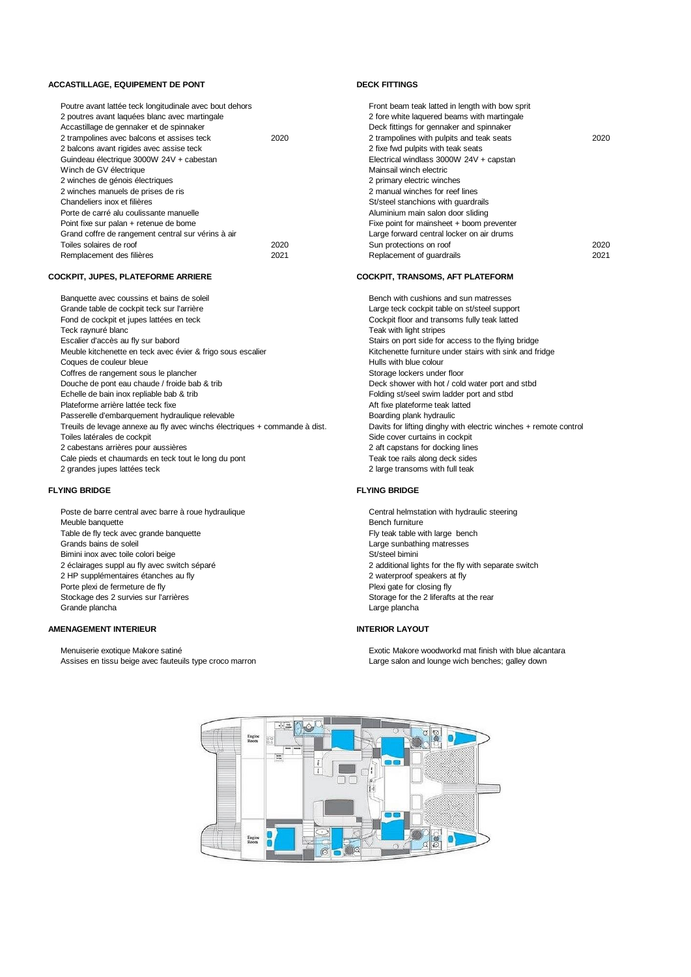### **ACCASTILLAGE, EQUIPEMENT DE PONT DECK FITTINGS**

| Poutre avant lattée teck longitudinale avec bout dehors |      | Front beam teak latted in length with bow sprit |      |
|---------------------------------------------------------|------|-------------------------------------------------|------|
| 2 poutres avant laquées blanc avec martingale           |      | 2 fore white laquered beams with martingale     |      |
| Accastillage de gennaker et de spinnaker                |      | Deck fittings for gennaker and spinnaker        |      |
| 2 trampolines avec balcons et assises teck              | 2020 | 2 trampolines with pulpits and teak seats       | 2020 |
| 2 balcons avant rigides avec assise teck                |      | 2 fixe fwd pulpits with teak seats              |      |
| Guindeau électrique 3000W 24V + cabestan                |      | Electrical windlass 3000W 24V + capstan         |      |
| Winch de GV électrique                                  |      | Mainsail winch electric                         |      |
| 2 winches de génois électriques                         |      | 2 primary electric winches                      |      |
| 2 winches manuels de prises de ris                      |      | 2 manual winches for reef lines                 |      |
| Chandeliers inox et filières                            |      | St/steel stanchions with quardrails             |      |
| Porte de carré alu coulissante manuelle                 |      | Aluminium main salon door sliding               |      |
| Point fixe sur palan + retenue de bome                  |      | Fixe point for mainsheet + boom preventer       |      |
| Grand coffre de rangement central sur vérins à air      |      | Large forward central locker on air drums       |      |
| Toiles solaires de roof                                 | 2020 | Sun protections on roof                         | 2020 |
| Remplacement des filières                               | 2021 | Replacement of quardrails                       | 2021 |
|                                                         |      |                                                 |      |

### **COCKPIT, JUPES, PLATEFORME ARRIERE COCKPIT, TRANSOMS, AFT PLATEFORM**

| Banquette avec coussins et bains de soleil                                 |
|----------------------------------------------------------------------------|
| Grande table de cockpit teck sur l'arrière                                 |
| Fond de cockpit et jupes lattées en teck                                   |
| Teck raynuré blanc                                                         |
| Escalier d'accès au fly sur babord                                         |
| Meuble kitchenette en teck avec évier & frigo sous escalier                |
| Coques de couleur bleue                                                    |
| Coffres de rangement sous le plancher                                      |
| Douche de pont eau chaude / froide bab & trib                              |
| Echelle de bain inox repliable bab & trib                                  |
| Plateforme arrière lattée teck fixe                                        |
| Passerelle d'embarquement hydraulique relevable                            |
| Treuils de levage annexe au fly avec winchs électriques + commande à dist. |
| Toiles latérales de cockpit                                                |
| 2 cabestans arrières pour aussières                                        |
| Cale pieds et chaumards en teck tout le long du pont                       |
| 2 grandes jupes lattées teck                                               |

Poste de barre central avec barre à roue hydraulique Central helmstation with hydraulic steering Meuble banquette **Bench furniture** Bench furniture **Bench furniture** Bench furniture Table de fly teck avec grande banquette<br>Grands bains de soleil<br>Grands bains de soleil<br>Fly teak table with large sunbathing matresses Bimini inox avec toile colori beige<br>2 éclairages suppl au fly avec switch séparé 2 HP supplémentaires étanches au fly **2** waterproof speakers at fly Porte plexi de fermeture de fly entrepreneurs and the plexi gate for closing fly<br>
Stockage des 2 survies sur l'arrières entre and the present of the 2 liferafts at the rear<br>
Stockage des 2 survies sur l'arrières Stockage des 2 survies sur l'arrières Grande plancha Large plancha

### **AMENAGEMENT INTERIEUR INTERIOR LAYOUT**

Menuiserie exotique Makore satiné **Exotic Makore woodworkd mat finish with blue alcantara** Exotic Makore woodworkd mat finish with blue alcantara Assises en tissu beige avec fauteuils type croco marron **Large salon and lounge wich benches**; galley down

| <u>I IVIII DEAIII IEAN IAITEU III IEIIUIII WIIII DOW SPIII</u> |      |
|----------------------------------------------------------------|------|
| 2 fore white laquered beams with martingale                    |      |
| Deck fittings for gennaker and spinnaker                       |      |
| 2 trampolines with pulpits and teak seats                      | 2020 |
| 2 fixe fwd pulpits with teak seats                             |      |
| Electrical windlass 3000W 24V + capstan                        |      |
| Mainsail winch electric                                        |      |
| 2 primary electric winches                                     |      |
| 2 manual winches for reef lines                                |      |
| St/steel stanchions with quardrails                            |      |
| Aluminium main salon door sliding                              |      |
| Fixe point for mainsheet + boom preventer                      |      |
| Large forward central locker on air drums                      |      |
| Sun protections on roof                                        | 2020 |
| Replacement of quardrails                                      | 2021 |

Bench with cushions and sun matresses Large teck cockpit table on st/steel support Cockpit floor and transoms fully teak latted Teak with light stripes Stairs on port side for access to the flying bridge Kitchenette furniture under stairs with sink and fridge Hulls with blue colour Storage lockers under floor Deck shower with hot / cold water port and stbd Folding st/seel swim ladder port and stbd Aft fixe plateforme teak latted Boarding plank hydraulic Davits for lifting dinghy with electric winches + remote control Side cover curtains in cockpit 2 aft capstans for docking lines Teak toe rails along deck sides 2 large transoms with full teak

### **FLYING BRIDGE FLYING BRIDGE**

Large sunbathing matresses<br>St/steel bimini 2 additional lights for the fly with separate switch

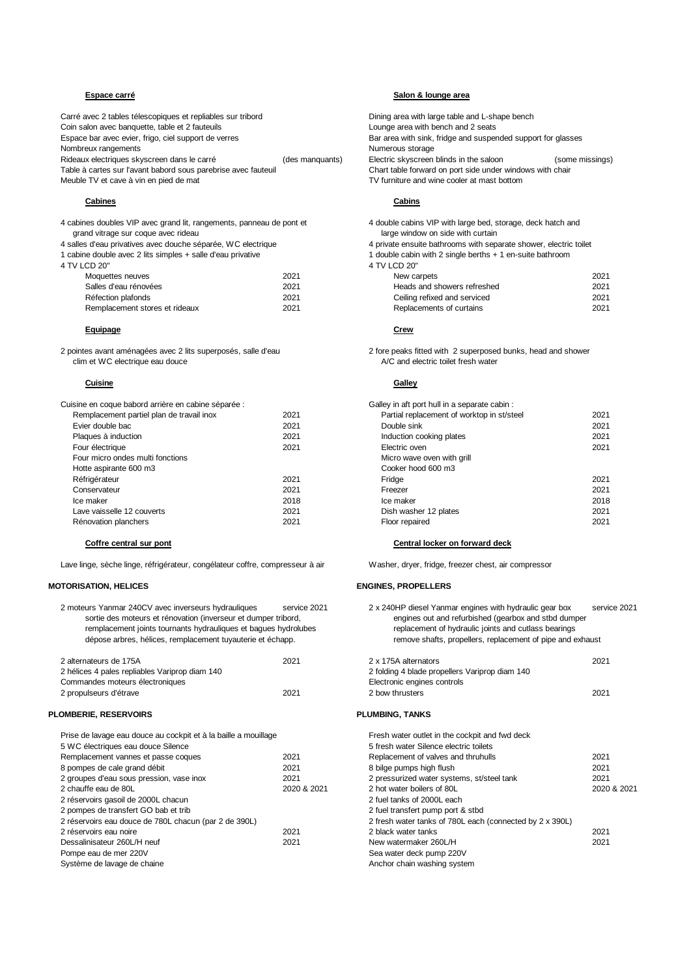Carré avec 2 tables télescopiques et repliables sur tribord<br>Coin salon avec banquette, table et 2 fauteuils<br>Coin salon avec banquette, table et 2 fauteuils Coin salon avec banquette, table et 2 fauteuils<br>Espace bar avec evier, frigo, ciel support de verres Nombreux rangements<br>
Rideaux electriques skyscreen dans le carré<br>
(des manquants) Electric skyscreen blinds in the saloon<br>
Clectric skyscreen blinds in the saloon Rideaux electriques skyscreen dans le carré (des manquants) Electric skyscreen blinds in the saloon (some missings)<br>Table à cartes sur l'avant babord sous parebrise avec fauteuil (des manquants) Chart table forward on port Table à cartes sur l'avant babord sous parebrise avec fauteuil Meuble TV et cave à vin en pied de mat **TV** furniture and wine cooler at mast bottom

### **Cabines Cabins**

4 cabines doubles VIP avec grand lit, rangements, panneau de pont et 4 double cabins VIP with large bed, storage, deck hatch and grand vitrage sur coque avec rideau large window on side with curtain and vitrage window on side with curtain

1 cabine double avec 2 lits simples + salle d'eau privative 1 double cabin 1 double cabin 4 TV I CD 20"

4 TV LCD 20" 4 TV LCD 20"

| New carpets                  | 2021                  |  |
|------------------------------|-----------------------|--|
| Heads and showers refreshed  | 2021                  |  |
| Ceiling refixed and serviced | 2021                  |  |
| Replacements of curtains     | 2021                  |  |
|                              | $4.1V$ LUD $20^\circ$ |  |

### **Equipage Crew**

2 pointes avant aménagées avec 2 lits superposés, salle d'eau 2 fore peaks fitted with 2 superposed bunks, head and shower<br>2 fore peaks fitted with 2 superposed bunks, head and shower<br>2 fore peaks fitted with 2 superposed

### **Cuisine Galley**

| Cuisine en coque babord arrière en cabine séparée : |      | Galley in aft port hull in a separate cabin : |
|-----------------------------------------------------|------|-----------------------------------------------|
| Remplacement partiel plan de travail inox           | 2021 | Partial replacement of worktop in st/st       |
| Evier double bac                                    | 2021 | Double sink                                   |
| Plaques à induction                                 | 2021 | Induction cooking plates                      |
| Four électrique                                     | 2021 | Electric oven                                 |
| Four micro ondes multi fonctions                    |      | Micro wave oven with grill                    |
| Hotte aspirante 600 m3                              |      | Cooker hood 600 m3                            |
| Réfrigérateur                                       | 2021 | Fridge                                        |
| Conservateur                                        | 2021 | Freezer                                       |
| Ice maker                                           | 2018 | Ice maker                                     |
| Lave vaisselle 12 couverts                          | 2021 | Dish washer 12 plates                         |
| Rénovation planchers                                | 2021 | Floor repaired                                |
|                                                     |      |                                               |

Lave linge, sèche linge, réfrigérateur, congélateur coffre, compresseur à air Washer, dryer, fridge, freezer chest, air compressor

### **MOTORISATION, HELICES ENGINES, PROPELLERS**

| 2 moteurs Yanmar 240CV avec inverseurs hydrauliques<br>sortie des moteurs et rénovation (inverseur et dumper tribord,<br>remplacement joints tournants hydrauliques et baques hydrolubes<br>dépose arbres, hélices, remplacement tuyauterie et échapp. | service 2021 | 2 x 240HP diesel Yanmar engines with hydraulic gear box<br>engines out and refurbished (gearbox and stbd dumper<br>replacement of hydraulic joints and cutlass bearings<br>remove shafts, propellers, replacement of pipe and exhaust | servi |
|--------------------------------------------------------------------------------------------------------------------------------------------------------------------------------------------------------------------------------------------------------|--------------|---------------------------------------------------------------------------------------------------------------------------------------------------------------------------------------------------------------------------------------|-------|
| 2 alternateurs de 175A                                                                                                                                                                                                                                 | 2021         | 2 x 175A alternators                                                                                                                                                                                                                  | 2021  |
| 2 hélices 4 pales repliables Variprop diam 140                                                                                                                                                                                                         |              | 2 folding 4 blade propellers Variprop diam 140                                                                                                                                                                                        |       |
| Commandes moteurs électroniques                                                                                                                                                                                                                        |              | Electronic engines controls                                                                                                                                                                                                           |       |
| 2 propulseurs d'étrave                                                                                                                                                                                                                                 | 2021         | 2 bow thrusters                                                                                                                                                                                                                       | 2021  |
| <b>PLOMBERIE, RESERVOIRS</b>                                                                                                                                                                                                                           |              | <b>PLUMBING, TANKS</b>                                                                                                                                                                                                                |       |
| Prise de lavage eau douce au cockpit et à la baille a mouillage                                                                                                                                                                                        |              | Fresh water outlet in the cockpit and fwd deck                                                                                                                                                                                        |       |
| 5 WC électriques eau douce Silence                                                                                                                                                                                                                     |              | 5 fresh water Silence electric toilets                                                                                                                                                                                                |       |
| Remplacement vannes et passe coques                                                                                                                                                                                                                    | 2021         | Replacement of valves and thruhulls                                                                                                                                                                                                   | 2021  |
| 8 pompes de cale grand débit                                                                                                                                                                                                                           | 2021         | 8 bilge pumps high flush                                                                                                                                                                                                              | 2021  |
| 2 groupes d'eau sous pression, vase inox                                                                                                                                                                                                               | 2021         | 2 pressurized water systems, st/steel tank                                                                                                                                                                                            | 2021  |
| 2 chauffe eau de 80L                                                                                                                                                                                                                                   | 2020 & 2021  | 2 hot water boilers of 80L                                                                                                                                                                                                            | 2020  |
| 2 réservoirs gasoil de 2000L chacun                                                                                                                                                                                                                    |              | 2 fuel tanks of 2000L each                                                                                                                                                                                                            |       |
| 2 pompes de transfert GO bab et trib                                                                                                                                                                                                                   |              | 2 fuel transfert pump port & stbd                                                                                                                                                                                                     |       |
| 2 réservoirs eau douce de 780L chacun (par 2 de 390L)                                                                                                                                                                                                  |              | 2 fresh water tanks of 780L each (connected by 2 x 390L)                                                                                                                                                                              |       |
| 2 réservoirs eau noire                                                                                                                                                                                                                                 | 2021         | 2 black water tanks                                                                                                                                                                                                                   | 2021  |
| Dessalinisateur 260L/H neuf                                                                                                                                                                                                                            | 2021         | New watermaker 260L/H                                                                                                                                                                                                                 | 2021  |

## **Espace carré Salon & lounge area**

Bar area with sink, fridge and suspended support for glasses

- 
- 4 salles d'eau privatives avec douche séparée, WC electrique 4 private ensuite bathrooms with separate shower, electric toilet
	-

| <b>NOUGLIES HEUVES</b>         | ZUZ 1 | <b>INEW Calbets</b>          | ZUZ I |
|--------------------------------|-------|------------------------------|-------|
| Salles d'eau rénovées          | 2021  | Heads and showers refreshed  | 2021  |
| Réfection plafonds             | 2021  | Ceiling refixed and serviced | 2021  |
| Remplacement stores et rideaux | 2021  | Replacements of curtains     | 2021  |

A/C and electric toilet fresh water

| sine en coque babord arrière en cabine séparée : |      | Galley in aft port hull in a separate cabin : |      |
|--------------------------------------------------|------|-----------------------------------------------|------|
| Remplacement partiel plan de travail inox        | 2021 | Partial replacement of worktop in st/steel    | 2021 |
| Evier double bac                                 | 2021 | Double sink                                   | 2021 |
| Plaques à induction                              | 2021 | Induction cooking plates                      | 2021 |
| Four électrique                                  | 2021 | Electric oven                                 | 2021 |
| Four micro ondes multi fonctions                 |      | Micro wave oven with grill                    |      |
| Hotte aspirante 600 m3                           |      | Cooker hood 600 m3                            |      |
| Réfrigérateur                                    | 2021 | Fridge                                        | 2021 |
| Conservateur                                     | 2021 | Freezer                                       | 2021 |
| Ice maker                                        | 2018 | Ice maker                                     | 2018 |
| Lave vaisselle 12 couverts                       | 2021 | Dish washer 12 plates                         | 2021 |
| Rénovation planchers                             | 2021 | Floor repaired                                | 2021 |
|                                                  |      |                                               |      |

### **Coffre central sur pont Central locker on forward deck**

| 2 moteurs Yanmar 240CV avec inverseurs hydrauliques<br>service 2021<br>sortie des moteurs et rénovation (inverseur et dumper tribord,<br>remplacement joints tournants hydrauliques et bagues hydrolubes<br>dépose arbres, hélices, remplacement tuyauterie et échapp. |             | 2 x 240HP diesel Yanmar engines with hydraulic gear box<br>service 2021<br>engines out and refurbished (gearbox and stbd dumper<br>replacement of hydraulic joints and cutlass bearings<br>remove shafts, propellers, replacement of pipe and exhaust |             |  |
|------------------------------------------------------------------------------------------------------------------------------------------------------------------------------------------------------------------------------------------------------------------------|-------------|-------------------------------------------------------------------------------------------------------------------------------------------------------------------------------------------------------------------------------------------------------|-------------|--|
| 2 alternateurs de 175A                                                                                                                                                                                                                                                 | 2021        | 2 x 175A alternators                                                                                                                                                                                                                                  | 2021        |  |
| 2 hélices 4 pales repliables Variprop diam 140                                                                                                                                                                                                                         |             | 2 folding 4 blade propellers Variprop diam 140                                                                                                                                                                                                        |             |  |
| Commandes moteurs électroniques                                                                                                                                                                                                                                        |             | Electronic engines controls                                                                                                                                                                                                                           |             |  |
| 2 propulseurs d'étrave                                                                                                                                                                                                                                                 | 2021        | 2 bow thrusters                                                                                                                                                                                                                                       | 2021        |  |
| OMBERIE, RESERVOIRS                                                                                                                                                                                                                                                    |             | <b>PLUMBING, TANKS</b>                                                                                                                                                                                                                                |             |  |
| Prise de lavage eau douce au cockpit et à la baille a mouillage                                                                                                                                                                                                        |             | Fresh water outlet in the cockpit and fwd deck                                                                                                                                                                                                        |             |  |
| 5 WC électriques eau douce Silence                                                                                                                                                                                                                                     |             | 5 fresh water Silence electric toilets                                                                                                                                                                                                                |             |  |
| Remplacement vannes et passe coques                                                                                                                                                                                                                                    | 2021        | Replacement of valves and thruhulls                                                                                                                                                                                                                   | 2021        |  |
| 8 pompes de cale grand débit                                                                                                                                                                                                                                           | 2021        | 8 bilge pumps high flush                                                                                                                                                                                                                              | 2021        |  |
| 2 groupes d'eau sous pression, vase inox                                                                                                                                                                                                                               | 2021        | 2 pressurized water systems, st/steel tank                                                                                                                                                                                                            | 2021        |  |
| 2 chauffe eau de 80L                                                                                                                                                                                                                                                   | 2020 & 2021 | 2 hot water boilers of 80L                                                                                                                                                                                                                            | 2020 & 2021 |  |
| 2 réservoirs gasoil de 2000L chacun                                                                                                                                                                                                                                    |             | 2 fuel tanks of 2000L each                                                                                                                                                                                                                            |             |  |
| 2 pompes de transfert GO bab et trib                                                                                                                                                                                                                                   |             | 2 fuel transfert pump port & stbd                                                                                                                                                                                                                     |             |  |
| 2 réservoirs eau douce de 780L chacun (par 2 de 390L)                                                                                                                                                                                                                  |             | 2 fresh water tanks of 780L each (connected by 2 x 390L)                                                                                                                                                                                              |             |  |
| 2 réservoirs eau noire                                                                                                                                                                                                                                                 | 2021        | 2 black water tanks                                                                                                                                                                                                                                   | 2021        |  |
| Dessalinisateur 260L/H neuf                                                                                                                                                                                                                                            | 2021        | New watermaker 260L/H                                                                                                                                                                                                                                 | 2021        |  |
| Pompe eau de mer 220V                                                                                                                                                                                                                                                  |             | Sea water deck pump 220V                                                                                                                                                                                                                              |             |  |
| Système de lavage de chaine                                                                                                                                                                                                                                            |             | Anchor chain washing system                                                                                                                                                                                                                           |             |  |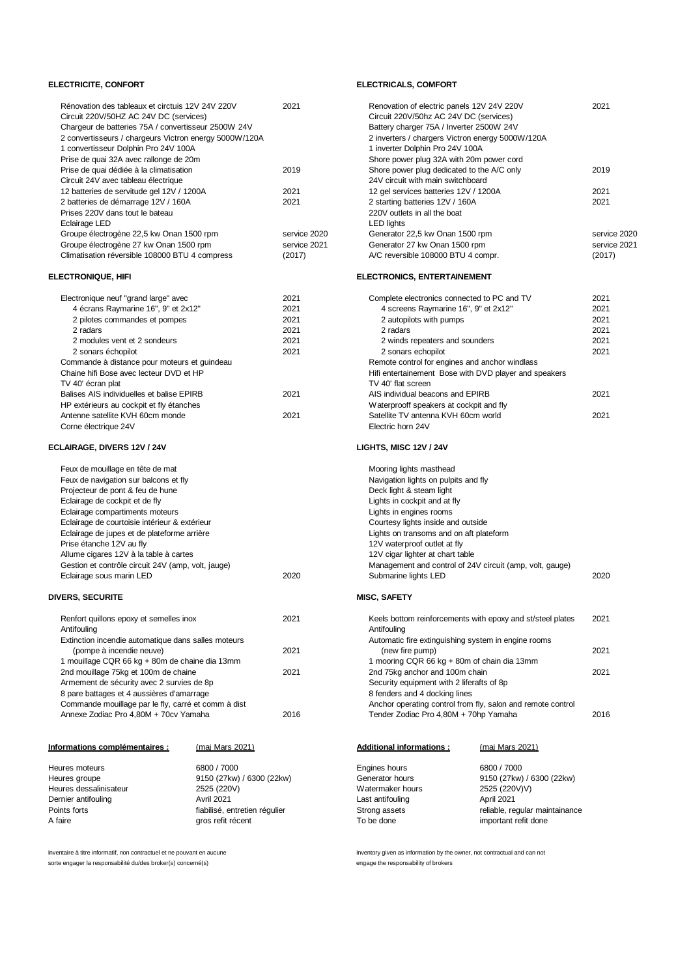| Informations complémentaires :                                                                                                                                                            | <u>(maj Mars 2021)</u> |              | <b>Additional informations:</b>                                                                                                            | (maj Mars 2021)                                            |              |
|-------------------------------------------------------------------------------------------------------------------------------------------------------------------------------------------|------------------------|--------------|--------------------------------------------------------------------------------------------------------------------------------------------|------------------------------------------------------------|--------------|
|                                                                                                                                                                                           |                        |              |                                                                                                                                            |                                                            |              |
| Annexe Zodiac Pro 4,80M + 70cv Yamaha                                                                                                                                                     |                        | 2016         | Tender Zodiac Pro 4,80M + 70hp Yamaha                                                                                                      |                                                            | 2016         |
| Commande mouillage par le fly, carré et comm à dist                                                                                                                                       |                        |              | Security equipment with 2 liferafts of 8p.<br>8 fenders and 4 docking lines<br>Anchor operating control from fly, salon and remote control |                                                            |              |
| Armement de sécurity avec 2 survies de 8p<br>8 pare battages et 4 aussières d'amarrage                                                                                                    |                        |              |                                                                                                                                            |                                                            |              |
| Extinction incendie automatique dans salles moteurs<br>2021<br>(pompe à incendie neuve)<br>1 mouillage CQR 66 kg + 80m de chaine dia 13mm<br>2nd mouillage 75kg et 100m de chaine<br>2021 |                        |              | 2nd 75kg anchor and 100m chain                                                                                                             |                                                            | 2021         |
|                                                                                                                                                                                           |                        |              | (new fire pump)<br>1 mooring CQR 66 kg + 80m of chain dia 13mm                                                                             |                                                            | 2021         |
|                                                                                                                                                                                           |                        |              |                                                                                                                                            |                                                            |              |
|                                                                                                                                                                                           |                        |              | Automatic fire extinguishing system in engine rooms                                                                                        |                                                            |              |
| Antifouling                                                                                                                                                                               |                        |              | Antifouling                                                                                                                                |                                                            |              |
| Renfort quillons epoxy et semelles inox                                                                                                                                                   |                        | 2021         |                                                                                                                                            | Keels bottom reinforcements with epoxy and st/steel plates | 2021         |
| <b>DIVERS, SECURITE</b>                                                                                                                                                                   |                        |              | <b>MISC, SAFETY</b>                                                                                                                        |                                                            |              |
| Eclairage sous marin LED                                                                                                                                                                  |                        | 2020         | Submarine lights LED                                                                                                                       |                                                            | 2020         |
| Gestion et contrôle circuit 24V (amp, volt, jauge)                                                                                                                                        |                        |              |                                                                                                                                            | Management and control of 24V circuit (amp, volt, gauge)   |              |
| Allume cigares 12V à la table à cartes                                                                                                                                                    |                        |              | 12V cigar lighter at chart table                                                                                                           |                                                            |              |
| Prise étanche 12V au fly                                                                                                                                                                  |                        |              | 12V waterproof outlet at fly                                                                                                               |                                                            |              |
| Eclairage de jupes et de plateforme arrière                                                                                                                                               |                        |              | Lights on transoms and on aft plateform                                                                                                    |                                                            |              |
| Eclairage de courtoisie intérieur & extérieur                                                                                                                                             |                        |              | Courtesy lights inside and outside                                                                                                         |                                                            |              |
| Eclairage compartiments moteurs                                                                                                                                                           |                        |              | Lights in engines rooms                                                                                                                    |                                                            |              |
| Projecteur de pont & feu de hune<br>Eclairage de cockpit et de fly                                                                                                                        |                        |              | Deck light & steam light<br>Lights in cockpit and at fly                                                                                   |                                                            |              |
| Feux de navigation sur balcons et fly                                                                                                                                                     |                        |              | Navigation lights on pulpits and fly                                                                                                       |                                                            |              |
| Feux de mouillage en tête de mat                                                                                                                                                          |                        |              | Mooring lights masthead                                                                                                                    |                                                            |              |
|                                                                                                                                                                                           |                        |              |                                                                                                                                            |                                                            |              |
| ECLAIRAGE, DIVERS 12V / 24V                                                                                                                                                               |                        |              | <b>LIGHTS, MISC 12V / 24V</b>                                                                                                              |                                                            |              |
| Corne électrique 24V                                                                                                                                                                      |                        |              | Electric horn 24V                                                                                                                          |                                                            |              |
| HP extérieurs au cockpit et fly étanches<br>Antenne satellite KVH 60cm monde                                                                                                              |                        | 2021         | Waterprooff speakers at cockpit and fly<br>Satellite TV antenna KVH 60cm world                                                             |                                                            | 2021         |
| Balises AIS individuelles et balise EPIRB                                                                                                                                                 |                        | 2021         | AIS individual beacons and EPIRB                                                                                                           |                                                            | 2021         |
| TV 40' écran plat                                                                                                                                                                         |                        |              | TV 40' flat screen                                                                                                                         |                                                            |              |
| Chaine hifi Bose avec lecteur DVD et HP                                                                                                                                                   |                        |              |                                                                                                                                            | Hifi entertainement Bose with DVD player and speakers      |              |
| Commande à distance pour moteurs et guindeau                                                                                                                                              |                        |              | Remote control for engines and anchor windlass                                                                                             |                                                            |              |
| 2 sonars échopilot                                                                                                                                                                        |                        | 2021         | 2 sonars echopilot                                                                                                                         |                                                            | 2021         |
| 2 modules vent et 2 sondeurs                                                                                                                                                              |                        | 2021         | 2 winds repeaters and sounders                                                                                                             |                                                            | 2021         |
| 2 radars                                                                                                                                                                                  |                        | 2021         | 2 radars                                                                                                                                   |                                                            | 2021         |
| 2 pilotes commandes et pompes                                                                                                                                                             |                        | 2021         | 2 autopilots with pumps                                                                                                                    |                                                            | 2021         |
| Electronique neuf "grand large" avec<br>4 écrans Raymarine 16", 9" et 2x12"                                                                                                               |                        | 2021<br>2021 | Complete electronics connected to PC and TV<br>4 screens Raymarine 16", 9" et 2x12"                                                        |                                                            | 2021<br>2021 |
|                                                                                                                                                                                           |                        |              |                                                                                                                                            |                                                            |              |
| <b>ELECTRONIQUE, HIFI</b>                                                                                                                                                                 |                        |              | <b>ELECTRONICS, ENTERTAINEMENT</b>                                                                                                         |                                                            |              |
| Climatisation réversible 108000 BTU 4 compress                                                                                                                                            |                        | (2017)       | A/C reversible 108000 BTU 4 compr.                                                                                                         |                                                            | (201)        |
| Groupe électrogène 27 kw Onan 1500 rpm                                                                                                                                                    |                        | service 2021 | Generator 27 kw Onan 1500 rpm                                                                                                              |                                                            | servi        |
| Groupe électrogène 22,5 kw Onan 1500 rpm                                                                                                                                                  |                        | service 2020 | Generator 22,5 kw Onan 1500 rpm                                                                                                            |                                                            | servi        |
| Eclairage LED                                                                                                                                                                             |                        |              | <b>LED lights</b>                                                                                                                          |                                                            |              |
| Prises 220V dans tout le bateau                                                                                                                                                           |                        |              | 220V outlets in all the boat                                                                                                               |                                                            |              |
| 12 batteries de servitude gel 12V / 1200A<br>2 batteries de démarrage 12V / 160A                                                                                                          |                        | 2021<br>2021 | 12 gel services batteries 12V / 1200A<br>2 starting batteries 12V / 160A                                                                   |                                                            | 2021         |
| Circuit 24V avec tableau électrique                                                                                                                                                       |                        |              | 24V circuit with main switchboard                                                                                                          |                                                            | 2021         |
| Prise de quai dédiée à la climatisation                                                                                                                                                   |                        | 2019         | Shore power plug dedicated to the A/C only                                                                                                 |                                                            | 2019         |
| Prise de quai 32A avec rallonge de 20m                                                                                                                                                    |                        |              | Shore power plug 32A with 20m power cord                                                                                                   |                                                            |              |
| 1 convertisseur Dolphin Pro 24V 100A                                                                                                                                                      |                        |              | 1 inverter Dolphin Pro 24V 100A                                                                                                            |                                                            |              |
| 2 convertisseurs / chargeurs Victron energy 5000W/120A                                                                                                                                    |                        |              | 2 inverters / chargers Victron energy 5000W/120A                                                                                           |                                                            |              |
| Chargeur de batteries 75A / convertisseur 2500W 24V                                                                                                                                       |                        |              | Battery charger 75A / Inverter 2500W 24V                                                                                                   |                                                            |              |
| Circuit 220V/50HZ AC 24V DC (services)                                                                                                                                                    |                        |              | Circuit 220V/50hz AC 24V DC (services)                                                                                                     |                                                            |              |
| Rénovation des tableaux et circtuis 12V 24V 220V                                                                                                                                          |                        | 2021         | Renovation of electric panels 12V 24V 220V                                                                                                 |                                                            | 2021         |

| 6800 / 7000                   | Engines hours    | 6800 / 7000                    |
|-------------------------------|------------------|--------------------------------|
| 9150 (27kw) / 6300 (22kw)     | Generator hours  | 9150 (27kw) / 6300 (22kw)      |
| 2525 (220V)                   | Watermaker hours | 2525 (220V)V)                  |
| <b>Avril 2021</b>             | Last antifouling | April 2021                     |
| fiabilisé, entretien régulier | Strong assets    | reliable, regular maintainance |
| gros refit récent             | To be done       | important refit done           |
|                               |                  |                                |

Inventaire à titre informatif, non contractuel et ne pouvant en aucune Inventory avec Inventory given as information by the owner, not contractual and can not sorte engager la responsabilité du/des broker(s) concerné(s) entre entre entre engage the responsability of brokers

### **ELECTRICITE, CONFORT ELECTRICALS, COMFORT**

| Renovation of electric panels 12V 24V 220V<br>2021 | 2021         | Rénovation des tableaux et circtuis 12V 24V 220V       |
|----------------------------------------------------|--------------|--------------------------------------------------------|
| Circuit 220V/50hz AC 24V DC (services)             |              | Circuit 220V/50HZ AC 24V DC (services)                 |
| Battery charger 75A / Inverter 2500W 24V           |              | Chargeur de batteries 75A / convertisseur 2500W 24V    |
| 2 inverters / chargers Victron energy 5000W/120A   |              | 2 convertisseurs / chargeurs Victron energy 5000W/120A |
| 1 inverter Dolphin Pro 24V 100A                    |              | 1 convertisseur Dolphin Pro 24V 100A                   |
| Shore power plug 32A with 20m power cord           |              | Prise de quai 32A avec rallonge de 20m                 |
| Shore power plug dedicated to the A/C only<br>2019 | 2019         | Prise de quai dédiée à la climatisation                |
| 24V circuit with main switchboard                  |              | Circuit 24V avec tableau électrique                    |
| 12 gel services batteries 12V / 1200A<br>2021      | 2021         | 12 batteries de servitude gel 12V / 1200A              |
| 2 starting batteries 12V / 160A<br>2021            | 2021         | 2 batteries de démarrage 12V / 160A                    |
| 220V outlets in all the boat                       |              | Prises 220V dans tout le bateau                        |
| <b>LED lights</b>                                  |              | Eclairage LED                                          |
| Generator 22,5 kw Onan 1500 rpm<br>service 2020    | service 2020 | Groupe électrogène 22,5 kw Onan 1500 rpm               |
| service 2021<br>Generator 27 kw Onan 1500 rpm      | service 2021 | Groupe électrogène 27 kw Onan 1500 rpm                 |
| A/C reversible 108000 BTU 4 compr.<br>(2017)       | (2017)       | Climatisation réversible 108000 BTU 4 compress         |
|                                                    |              |                                                        |

| ctronique neuf "grand large" avec          | 2021 | Complete electronics connected to PC and TV           | 2021 |
|--------------------------------------------|------|-------------------------------------------------------|------|
| 4 écrans Raymarine 16", 9" et 2x12"        | 2021 | 4 screens Raymarine 16", 9" et 2x12"                  | 2021 |
| 2 pilotes commandes et pompes              | 2021 | 2 autopilots with pumps                               | 2021 |
| 2 radars                                   | 2021 | 2 radars                                              | 2021 |
| 2 modules vent et 2 sondeurs               | 2021 | 2 winds repeaters and sounders                        | 2021 |
| 2 sonars échopilot                         | 2021 | 2 sonars echopilot                                    | 2021 |
| nmande à distance pour moteurs et quindeau |      | Remote control for engines and anchor windlass        |      |
| aine hifi Bose avec lecteur DVD et HP      |      | Hifi entertainement Bose with DVD player and speakers |      |
| 40' écran plat                             |      | TV 40' flat screen                                    |      |
| ises AIS individuelles et balise EPIRB     | 2021 | AIS individual beacons and EPIRB                      | 2021 |
| extérieurs au cockpit et fly étanches      |      | Waterprooff speakers at cockpit and fly               |      |
| enne satellite KVH 60cm monde              | 2021 | Satellite TV antenna KVH 60cm world                   | 2021 |
| ne électrique 24V                          |      | Electric horn 24V                                     |      |

| Mooring lights masthead<br>Navigation lights on pulpits and fly |  |
|-----------------------------------------------------------------|--|
| Deck light & steam light                                        |  |
| Lights in cockpit and at fly                                    |  |
| Lights in engines rooms                                         |  |
| Courtesy lights inside and outside                              |  |
| Lights on transoms and on aft plateform                         |  |
| 12V waterproof outlet at fly                                    |  |
| 12V cigar lighter at chart table                                |  |
| Management and control of 24V circuit (amp. volt. gauge)        |  |
| Submarine lights LED                                            |  |
|                                                                 |  |

| nfort quillons epoxy et semelles inox<br>ifouling | 2021 | Keels bottom reinforcements with epoxy and st/steel plates<br>Antifouling | 2021 |
|---------------------------------------------------|------|---------------------------------------------------------------------------|------|
| inction incendie automatique dans salles moteurs  |      | Automatic fire extinguishing system in engine rooms                       |      |
| (pompe à incendie neuve)                          | 2021 | (new fire pump)                                                           | 2021 |
| iouillage CQR 66 kg + 80m de chaine dia 13mm      |      | 1 mooring CQR 66 kg + 80m of chain dia 13mm                               |      |
| I mouillage 75kg et 100m de chaine                | 2021 | 2nd 75kg anchor and 100m chain                                            | 2021 |
| nement de sécurity avec 2 survies de 8p           |      | Security equipment with 2 liferafts of 8p                                 |      |
| are battages et 4 aussières d'amarrage            |      | 8 fenders and 4 docking lines                                             |      |
| nmande mouillage par le fly, carré et comm à dist |      | Anchor operating control from fly, salon and remote control               |      |
| hexe Zodiac Pro 4,80M + 70cv Yamaha               | 2016 | Tender Zodiac Pro 4,80M + 70hp Yamaha                                     | 2016 |
|                                                   |      |                                                                           |      |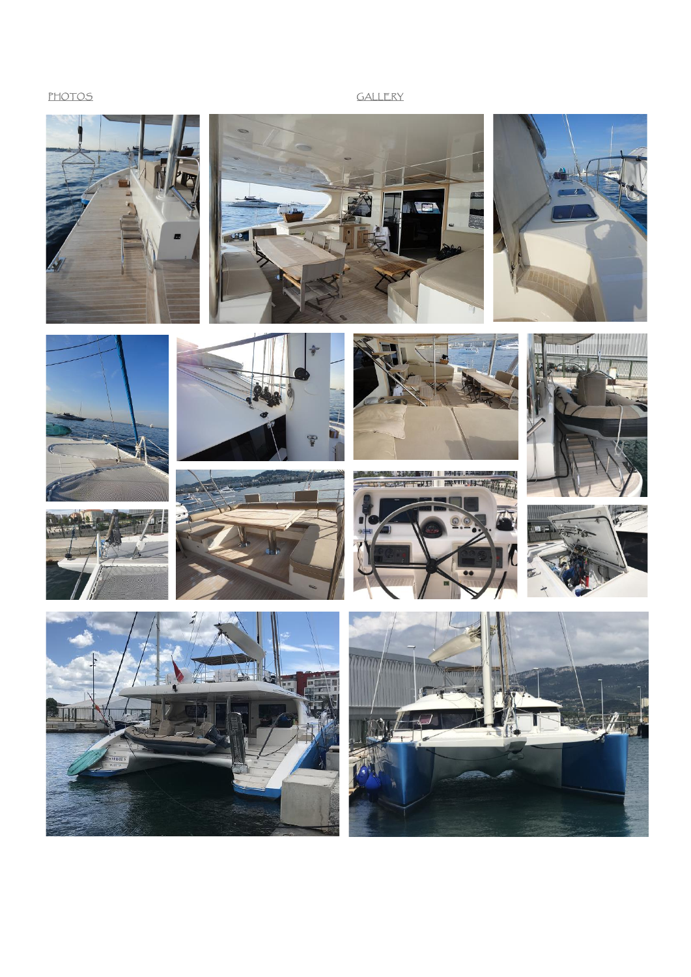# **PHOTOS** GALLERY













**EXTRA 10**  $-217$